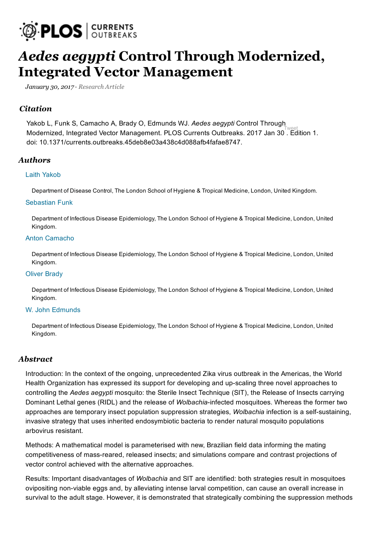

# *Aedes aegypti* Control Through Modernized, Integrated Vector [Management](http://currents.plos.org/outbreaks/article/aedes-aegypti-control-through-modernized-integrated-vector-management/)

*January 30, 2017 · [Research](http://currents.plos.org/outbreaks/article_category/research-article/) Article*

#### *Citation*

[Tweet](https://twitter.com/intent/tweet?original_referer=http%3A%2F%2Fcurrents.plos.org%2Foutbreaks%2Farticle%2Faedes-aegypti-control-through-modernized-integrated-vector-management%2F&ref_src=twsrc%5Etfw&text=Aedes%20aegypti%20Control%20Through%20Modernized%2C%E2%80%A6&tw_p=tweetbutton&url=http%3A%2F%2Fcurrents.plos.org%2Foutbreaks%2Farticle%2Faedes-aegypti-control-through-modernized-integrated-vector-management%2F) Modernized, Integrated Vector Management. PLOS Currents Outbreaks. 2017 Jan 30 . Edition 1. Yakob L, Funk S, Camacho A, Brady O, Edmunds WJ. Aedes aegypti Control Through doi: 10.1371/currents.outbreaks.45deb8e03a438c4d088afb4fafae8747.

#### *Authors*

#### Laith [Yakob](http://currents.plos.org/outbreaks/author/laith/)

Department of Disease Control, The London School of Hygiene & Tropical Medicine, London, United Kingdom.

#### [Sebastian](http://currents.plos.org/outbreaks/author/sebastian-funklshtm-ac-uk/) Funk

Department of Infectious Disease Epidemiology, The London School of Hygiene & Tropical Medicine, London, United Kingdom.

#### Anton [Camacho](http://currents.plos.org/outbreaks/author/anton-camacholshtm-ac-uk/)

Department of Infectious Disease Epidemiology, The London School of Hygiene & Tropical Medicine, London, United Kingdom.

#### Oliver [Brady](http://currents.plos.org/outbreaks/author/oliver-bradylshtm-ac-uk/)

Department of Infectious Disease Epidemiology, The London School of Hygiene & Tropical Medicine, London, United Kingdom.

#### W. John [Edmunds](http://currents.plos.org/outbreaks/author/john-edmundslshtm-ac-uk/)

Department of Infectious Disease Epidemiology, The London School of Hygiene & Tropical Medicine, London, United Kingdom.

#### *Abstract*

Introduction: In the context of the ongoing, unprecedented Zika virus outbreak in the Americas, the World Health Organization has expressed its support for developing and up-scaling three novel approaches to controlling the Aedes aegypti mosquito: the Sterile Insect Technique (SIT), the Release of Insects carrying Dominant Lethal genes (RIDL) and the release of *Wolbachia*-infected mosquitoes. Whereas the former two approaches are temporary insect population suppression strategies, Wolbachia infection is a self-sustaining, invasive strategy that uses inherited endosymbiotic bacteria to render natural mosquito populations arbovirus resistant.

Methods: A mathematical model is parameterised with new, Brazilian field data informing the mating competitiveness of mass-reared, released insects; and simulations compare and contrast projections of vector control achieved with the alternative approaches.

Results: Important disadvantages of Wolbachia and SIT are identified: both strategies result in mosquitoes ovipositing non-viable eggs and, by alleviating intense larval competition, can cause an overall increase in survival to the adult stage. However, it is demonstrated that strategically combining the suppression methods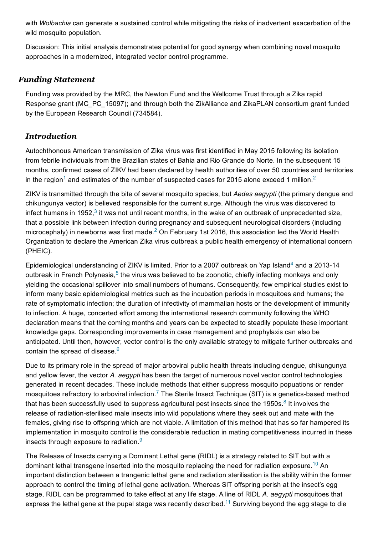with Wolbachia can generate a sustained control while mitigating the risks of inadvertent exacerbation of the wild mosquito population.

Discussion: This initial analysis demonstrates potential for good synergy when combining novel mosquito approaches in a modernized, integrated vector control programme.

### *Funding Statement*

Funding was provided by the MRC, the Newton Fund and the Wellcome Trust through a Zika rapid Response grant (MC\_PC\_15097); and through both the ZikAlliance and ZikaPLAN consortium grant funded by the European Research Council (734584).

# *Introduction*

Autochthonous American transmission of Zika virus was first identified in May 2015 following its isolation from febrile individuals from the Brazilian states of Bahia and Rio Grande do Norte. In the subsequent 15 months, confirmed cases of ZIKV had been declared by health authorities of over 50 countries and territories in the region<sup>[1](#page-31-0)</sup> and estimates of the number of suspected cases for [2](#page-31-1)015 alone exceed 1 million.<sup>2</sup>

ZIKV is transmitted through the bite of several mosquito species, but Aedes aegypti (the primary dengue and chikungunya vector) is believed responsible for the current surge. Although the virus was discovered to infect humans in 1952,<sup>[3](#page-31-2)</sup> it was not until recent months, in the wake of an outbreak of unprecedented size, that a possible link between infection during pregnancy and subsequent neurological disorders (including microcephaly) in newborns was first made.<sup>[2](#page-31-1)</sup> On February 1st 2016, this association led the World Health Organization to declare the American Zika virus outbreak a public health emergency of international concern (PHEIC).

Epidemiological understanding of ZIKV is limited. Prior to a 2007 outbreak on Yap Island<sup>[4](#page-31-3)</sup> and a 2013-14 outbreak in French Polynesia,<sup>[5](#page-31-4)</sup> the virus was believed to be zoonotic, chiefly infecting monkeys and only yielding the occasional spillover into small numbers of humans. Consequently, few empirical studies exist to inform many basic epidemiological metrics such as the incubation periods in mosquitoes and humans; the rate of symptomatic infection; the duration of infectivity of mammalian hosts or the development of immunity to infection. A huge, concerted effort among the international research community following the WHO declaration means that the coming months and years can be expected to steadily populate these important knowledge gaps. Corresponding improvements in case management and prophylaxis can also be anticipated. Until then, however, vector control is the only available strategy to mitigate further outbreaks and contain the spread of disease.<sup>[6](#page-31-5)</sup>

Due to its primary role in the spread of major arboviral public health threats including dengue, chikungunya and vellow fever, the vector A, aegypti has been the target of numerous novel vector control technologies generated in recent decades. These include methods that either suppress mosquito popuations or render mosquitoes refractory to arboviral infection.<sup>[7](#page-31-6)</sup> The Sterile Insect Technique (SIT) is a genetics-based method that has been successfully used to suppress agricultural pest insects since the 1950s. $8$  It involves the release of radiation-sterilised male insects into wild populations where they seek out and mate with the females, giving rise to offspring which are not viable. A limitation of this method that has so far hampered its implementation in mosquito control is the considerable reduction in mating competitiveness incurred in these insects through exposure to radiation.<sup>[9](#page-31-8)</sup>

The Release of Insects carrying a Dominant Lethal gene (RIDL) is a strategy related to SIT but with a dominant lethal transgene inserted into the mosquito replacing the need for radiation exposure.<sup>[10](#page-31-9)</sup> An important distinction between a trangenic lethal gene and radiation sterilisation is the ability within the former approach to control the timing of lethal gene activation. Whereas SIT offspring perish at the insect's egg stage, RIDL can be programmed to take effect at any life stage. A line of RIDL A. aegypti mosquitoes that express the lethal gene at the pupal stage was recently described.<sup>[11](#page-31-10)</sup> Surviving beyond the egg stage to die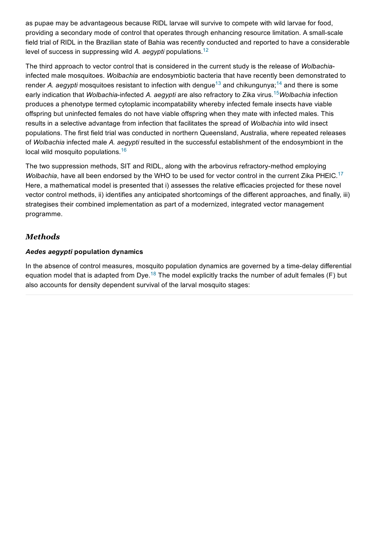as pupae may be advantageous because RIDL larvae will survive to compete with wild larvae for food, providing a secondary mode of control that operates through enhancing resource limitation. A small-scale field trial of RIDL in the Brazilian state of Bahia was recently conducted and reported to have a considerable level of success in suppressing wild A. aegypti populations.<sup>[12](#page-31-11)</sup>

The third approach to vector control that is considered in the current study is the release of Wolbachiainfected male mosquitoes. Wolbachia are endosymbiotic bacteria that have recently been demonstrated to render A. aegypti mosquitoes resistant to infection with dengue<sup>[13](#page-31-12)</sup> and chikungunya;<sup>[14](#page-31-13)</sup> and there is some early indication that *Wolbachia*-infected A. aegypti are also refractory to Zika virus. <sup>[15](#page-31-14)</sup>Wolbachia infection produces a phenotype termed cytoplamic incompatability whereby infected female insects have viable offspring but uninfected females do not have viable offspring when they mate with infected males. This results in a selective advantage from infection that facilitates the spread of Wolbachia into wild insect populations. The first field trial was conducted in northern Queensland, Australia, where repeated releases of Wolbachia infected male A. aegypti resulted in the successful establishment of the endosymbiont in the local wild mosquito populations.<sup>[16](#page-32-0)</sup>

The two suppression methods, SIT and RIDL, along with the arbovirus refractory-method employing Wolbachia, have all been endorsed by the WHO to be used for vector control in the current Zika PHEIC.<sup>[17](#page-32-1)</sup> Here, a mathematical model is presented that i) assesses the relative efficacies projected for these novel vector control methods, ii) identifies any anticipated shortcomings of the different approaches, and finally, iii) strategises their combined implementation as part of a modernized, integrated vector management programme.

# *Methods*

#### Aedes aegypti population dynamics

In the absence of control measures, mosquito population dynamics are governed by a time-delay differential equation model that is adapted from Dye.<sup>[18](#page-32-2)</sup> The model explicitly tracks the number of adult females (F) but also accounts for density dependent survival of the larval mosquito stages: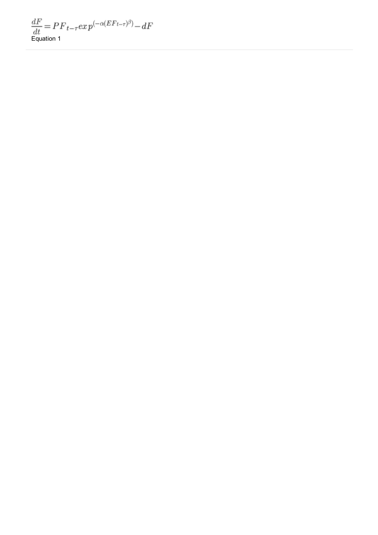$\frac{dF}{dt} \!=\! P\!\!\! \!\!\! P_{t-\tau} e x \, p^{(-\alpha(EF_{t-\tau})^\beta)} \!-\! dF$  <br> Equation 1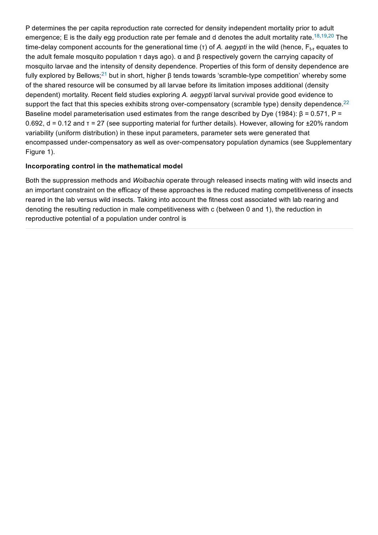P determines the per capita reproduction rate corrected for density independent mortality prior to adult emergence; E is the daily egg production rate per female and d denotes the adult mortality rate.<sup>[18](#page-32-2)[,19](#page-32-3),[20](#page-32-4)</sup> The time-delay component accounts for the generational time (τ) of *A. aegypti* in the wild (hence, F<sub>t-τ</sub> equates to the adult female mosquito population τ days ago). α and β respectively govern the carrying capacity of mosquito larvae and the intensity of density dependence. Properties of this form of density dependence are fully explored by Bellows;<sup>[21](#page-32-5)</sup> but in short, higher β tends towards 'scramble-type competition' whereby some of the shared resource will be consumed by all larvae before its limitation imposes additional (density dependent) mortality. Recent field studies exploring A. aegypti larval survival provide good evidence to support the fact that this species exhibits strong over-compensatory (scramble type) density dependence.<sup>[22](#page-32-6)</sup> Baseline model parameterisation used estimates from the range described by Dye (1984):  $\beta$  = 0.571, P = 0.692, d = 0.12 and τ = 27 (see supporting material for further details). However, allowing for ±20% random variability (uniform distribution) in these input parameters, parameter sets were generated that encompassed under-compensatory as well as over-compensatory population dynamics (see Supplementary Figure 1).

#### Incorporating control in the mathematical model

Both the suppression methods and Wolbachia operate through released insects mating with wild insects and an important constraint on the efficacy of these approaches is the reduced mating competitiveness of insects reared in the lab versus wild insects. Taking into account the fitness cost associated with lab rearing and denoting the resulting reduction in male competitiveness with c (between 0 and 1), the reduction in reproductive potential of a population under control is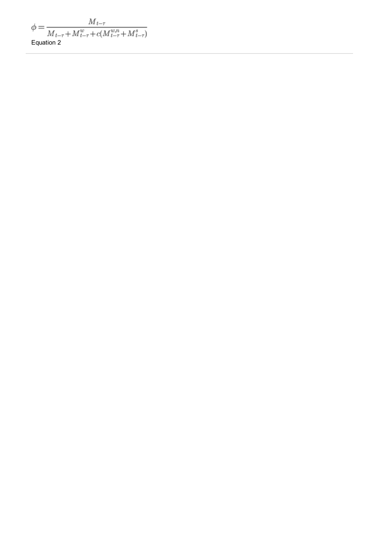$\label{eq:phi} \phi = \frac{M_{t-\tau}}{M_{t-\tau}+M_{t-\tau}^w + c(M_{t-\tau}^{w,n}+M_{t-\tau}^s)}$  <br> Equation 2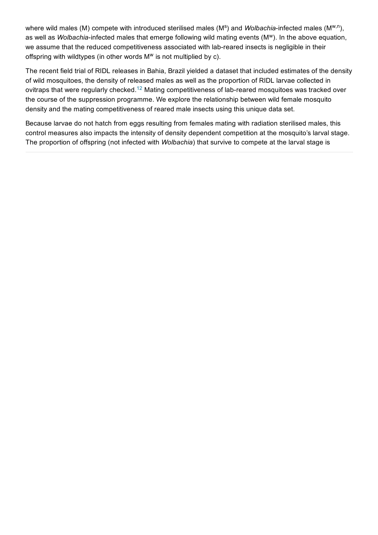where wild males (M) compete with introduced sterilised males (M<sup>s</sup>) and *Wolbachia*-infected males (M<sup>w,n</sup>), as well as *Wolbachia*-infected males that emerge following wild mating events (M<sup>w</sup>). In the above equation, we assume that the reduced competitiveness associated with lab-reared insects is negligible in their offspring with wildtypes (in other words  $M<sup>w</sup>$  is not multiplied by c).

The recent field trial of RIDL releases in Bahia, Brazil yielded a dataset that included estimates of the density of wild mosquitoes, the density of released males as well as the proportion of RIDL larvae collected in ovitraps that were regularly checked.<sup>[12](#page-31-11)</sup> Mating competitiveness of lab-reared mosquitoes was tracked over the course of the suppression programme. We explore the relationship between wild female mosquito density and the mating competitiveness of reared male insects using this unique data set.

Because larvae do not hatch from eggs resulting from females mating with radiation sterilised males, this control measures also impacts the intensity of density dependent competition at the mosquito's larval stage. The proportion of offspring (not infected with Wolbachia) that survive to compete at the larval stage is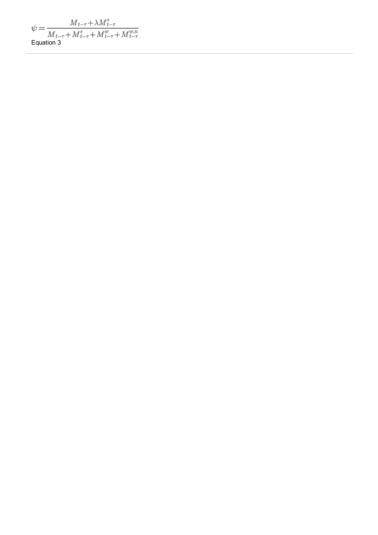$$
\psi = \frac{M_{t-\tau} + \lambda M_{t-\tau}^s}{M_{t-\tau} + M_{t-\tau}^s + M_{t-\tau}^w + M_{t-\tau}^{w,n}}
$$
  
Equation 3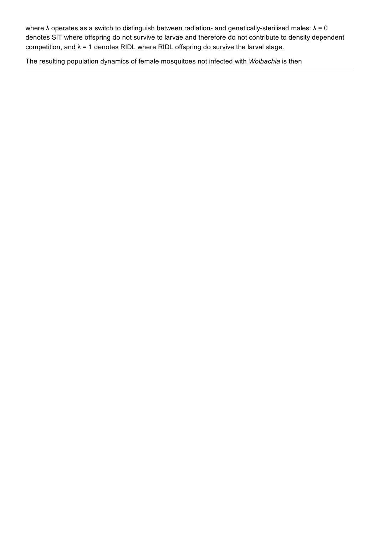where  $\lambda$  operates as a switch to distinguish between radiation- and genetically-sterilised males:  $\lambda = 0$ denotes SIT where offspring do not survive to larvae and therefore do not contribute to density dependent competition, and  $\lambda$  = 1 denotes RIDL where RIDL offspring do survive the larval stage.

The resulting population dynamics of female mosquitoes not infected with Wolbachia is then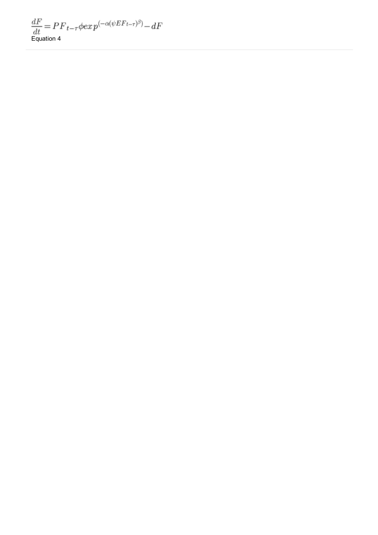$\frac{dF}{dt} \!=\! P\!\!\! \!P_{t-\tau} \phi \! \exp^{(-\alpha (\psi E F_{t-\tau})^\beta)} \! \!-\! dF$  <br> Equation 4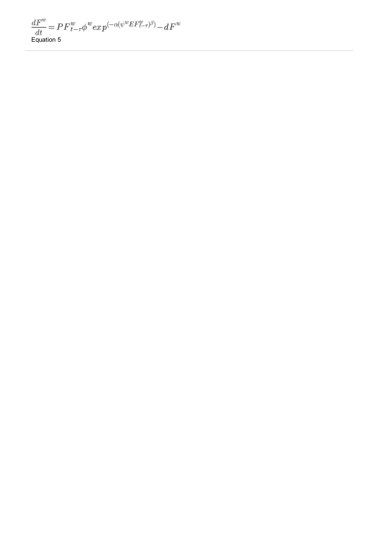$$
\frac{dF^w}{dt} = P F^w_{t-\tau} \phi^w exp^{(-\alpha(\psi^w EF^w_{t-\tau})^\beta)} - dF^w
$$
 Equation 5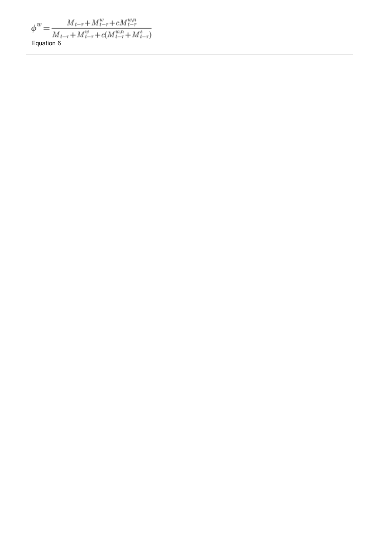$$
\phi^w=\frac{M_{t-\tau}+M^w_{t-\tau}+cM^{w,n}_{t-\tau}}{M_{t-\tau}+M^w_{t-\tau}+c(M^{w,n}_{t-\tau}+M^s_{t-\tau})}
$$
   
Equation 6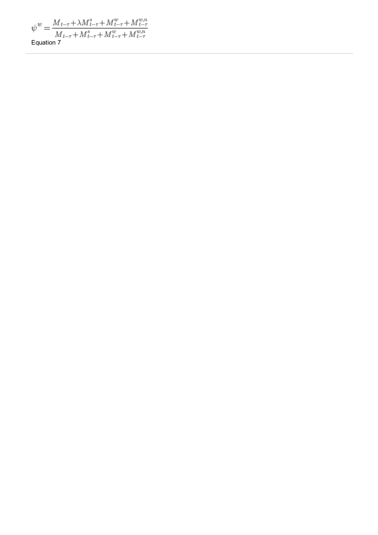$$
\psi^{w} = \frac{M_{t-\tau} + \lambda M_{t-\tau}^{s} + M_{t-\tau}^{w} + M_{t-\tau}^{w,n}}{M_{t-\tau} + M_{t-\tau}^{s} + M_{t-\tau}^{w} + M_{t-\tau}^{w,n}}
$$
  
Equation 7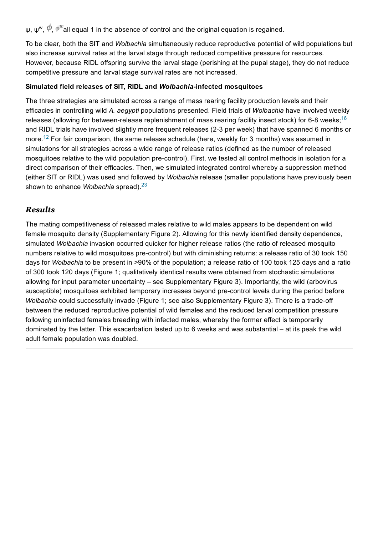ψ, ψ<sup>w</sup>,  $\varphi$ ,  $\phi^w$ all equal 1 in the absence of control and the original equation is regained.

To be clear, both the SIT and Wolbachia simultaneously reduce reproductive potential of wild populations but also increase survival rates at the larval stage through reduced competitive pressure for resources. However, because RIDL offspring survive the larval stage (perishing at the pupal stage), they do not reduce competitive pressure and larval stage survival rates are not increased.

#### Simulated field releases of SIT, RIDL and Wolbachia-infected mosquitoes

The three strategies are simulated across a range of mass rearing facility production levels and their efficacies in controlling wild A. aegypti populations presented. Field trials of Wolbachia have involved weekly releases (allowing for between-release replenishment of mass rearing facility insect stock) for 6-8 weeks;<sup>[16](#page-32-0)</sup> and RIDL trials have involved slightly more frequent releases (23 per week) that have spanned 6 months or more.<sup>[12](#page-31-11)</sup> For fair comparison, the same release schedule (here, weekly for 3 months) was assumed in simulations for all strategies across a wide range of release ratios (defined as the number of released mosquitoes relative to the wild population pre-control). First, we tested all control methods in isolation for a direct comparison of their efficacies. Then, we simulated integrated control whereby a suppression method (either SIT or RIDL) was used and followed by Wolbachia release (smaller populations have previously been shown to enhance *Wolbachia* spread).<sup>[23](#page-32-7)</sup>

### *Results*

The mating competitiveness of released males relative to wild males appears to be dependent on wild female mosquito density (Supplementary Figure 2). Allowing for this newly identified density dependence, simulated Wolbachia invasion occurred quicker for higher release ratios (the ratio of released mosquito numbers relative to wild mosquitoes pre-control) but with diminishing returns: a release ratio of 30 took 150 days for Wolbachia to be present in >90% of the population; a release ratio of 100 took 125 days and a ratio of 300 took 120 days (Figure 1; qualitatively identical results were obtained from stochastic simulations allowing for input parameter uncertainty – see Supplementary Figure 3). Importantly, the wild (arbovirus susceptible) mosquitoes exhibited temporary increases beyond pre-control levels during the period before Wolbachia could successfully invade (Figure 1; see also Supplementary Figure 3). There is a trade-off between the reduced reproductive potential of wild females and the reduced larval competition pressure following uninfected females breeding with infected males, whereby the former effect is temporarily dominated by the latter. This exacerbation lasted up to 6 weeks and was substantial – at its peak the wild adult female population was doubled.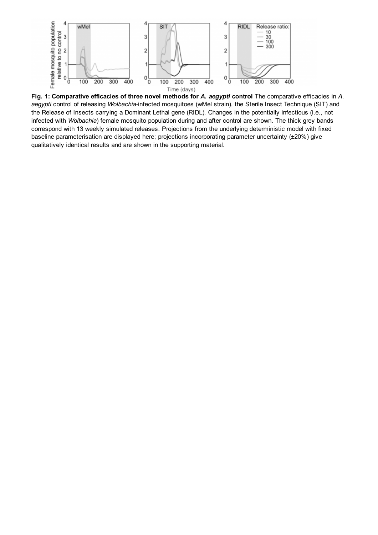

Fig. 1: Comparative efficacies of three novel methods for A. aegypti control The comparative efficacies in A. aegypti control of releasing Wolbachia-infected mosquitoes (wMel strain), the Sterile Insect Technique (SIT) and the Release of Insects carrying a Dominant Lethal gene (RIDL). Changes in the potentially infectious (i.e., not infected with Wolbachia) female mosquito population during and after control are shown. The thick grey bands correspond with 13 weekly simulated releases. Projections from the underlying deterministic model with fixed baseline parameterisation are displayed here; projections incorporating parameter uncertainty (±20%) give qualitatively identical results and are shown in the supporting material.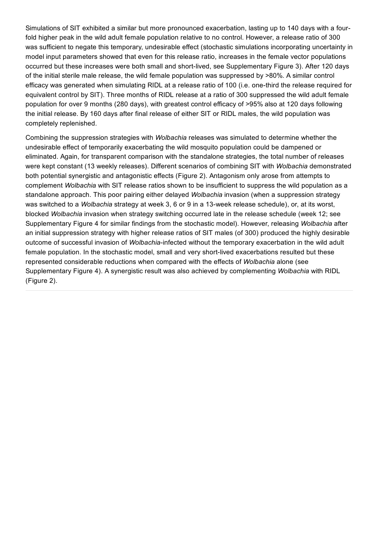Simulations of SIT exhibited a similar but more pronounced exacerbation, lasting up to 140 days with a fourfold higher peak in the wild adult female population relative to no control. However, a release ratio of 300 was sufficient to negate this temporary, undesirable effect (stochastic simulations incorporating uncertainty in model input parameters showed that even for this release ratio, increases in the female vector populations occurred but these increases were both small and short-lived, see Supplementary Figure 3). After 120 days of the initial sterile male release, the wild female population was suppressed by >80%. A similar control efficacy was generated when simulating RIDL at a release ratio of 100 (i.e. one-third the release required for equivalent control by SIT). Three months of RIDL release at a ratio of 300 suppressed the wild adult female population for over 9 months (280 days), with greatest control efficacy of >95% also at 120 days following the initial release. By 160 days after final release of either SIT or RIDL males, the wild population was completely replenished.

Combining the suppression strategies with Wolbachia releases was simulated to determine whether the undesirable effect of temporarily exacerbating the wild mosquito population could be dampened or eliminated. Again, for transparent comparison with the standalone strategies, the total number of releases were kept constant (13 weekly releases). Different scenarios of combining SIT with Wolbachia demonstrated both potential synergistic and antagonistic effects (Figure 2). Antagonism only arose from attempts to complement Wolbachia with SIT release ratios shown to be insufficient to suppress the wild population as a standalone approach. This poor pairing either delayed Wolbachia invasion (when a suppression strategy was switched to a Wolbachia strategy at week 3, 6 or 9 in a 13-week release schedule), or, at its worst, blocked Wolbachia invasion when strategy switching occurred late in the release schedule (week 12; see Supplementary Figure 4 for similar findings from the stochastic model). However, releasing Wolbachia after an initial suppression strategy with higher release ratios of SIT males (of 300) produced the highly desirable outcome of successful invasion of Wolbachia-infected without the temporary exacerbation in the wild adult female population. In the stochastic model, small and very short-lived exacerbations resulted but these represented considerable reductions when compared with the effects of Wolbachia alone (see Supplementary Figure 4). A synergistic result was also achieved by complementing Wolbachia with RIDL (Figure 2).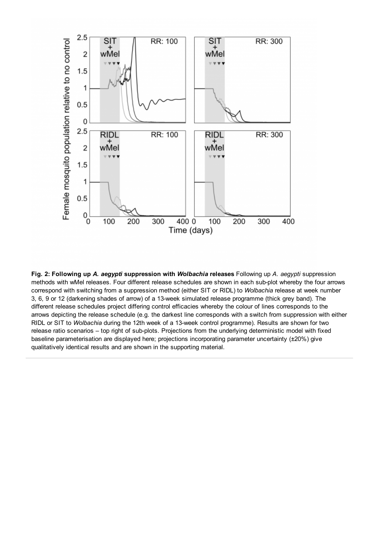

Fig. 2: Following up A. aegypti suppression with Wolbachia releases Following up A. aegypti suppression methods with wMel releases. Four different release schedules are shown in each sub-plot whereby the four arrows correspond with switching from a suppression method (either SIT or RIDL) to Wolbachia release at week number 3, 6, 9 or 12 (darkening shades of arrow) of a 13week simulated release programme (thick grey band). The different release schedules project differing control efficacies whereby the colour of lines corresponds to the arrows depicting the release schedule (e.g. the darkest line corresponds with a switch from suppression with either RIDL or SIT to Wolbachia during the 12th week of a 13week control programme). Results are shown for two release ratio scenarios - top right of sub-plots. Projections from the underlying deterministic model with fixed baseline parameterisation are displayed here; projections incorporating parameter uncertainty (±20%) give qualitatively identical results and are shown in the supporting material.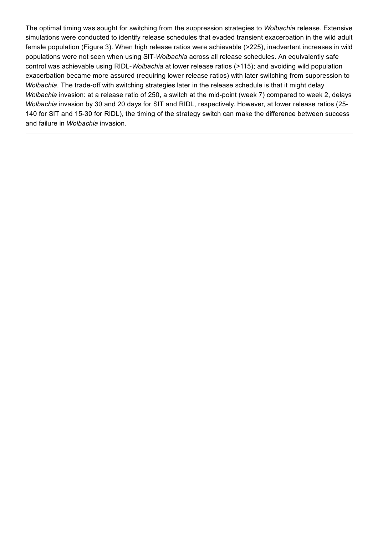The optimal timing was sought for switching from the suppression strategies to Wolbachia release. Extensive simulations were conducted to identify release schedules that evaded transient exacerbation in the wild adult female population (Figure 3). When high release ratios were achievable (>225), inadvertent increases in wild populations were not seen when using SIT-Wolbachia across all release schedules. An equivalently safe control was achievable using RIDL-Wolbachia at lower release ratios (>115); and avoiding wild population exacerbation became more assured (requiring lower release ratios) with later switching from suppression to Wolbachia. The trade-off with switching strategies later in the release schedule is that it might delay Wolbachia invasion: at a release ratio of 250, a switch at the mid-point (week 7) compared to week 2, delays Wolbachia invasion by 30 and 20 days for SIT and RIDL, respectively. However, at lower release ratios (25-140 for SIT and 15-30 for RIDL), the timing of the strategy switch can make the difference between success and failure in Wolbachia invasion.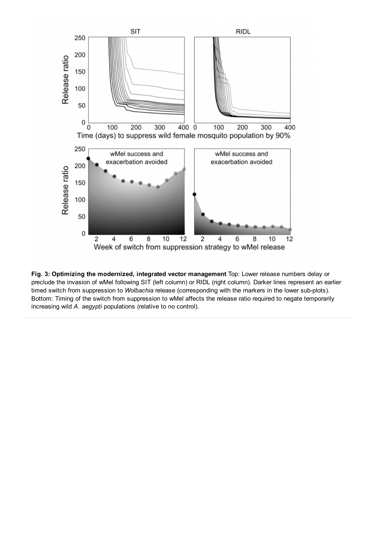

Fig. 3: Optimizing the modernized, integrated vector management Top: Lower release numbers delay or preclude the invasion of wMel following SIT (left column) or RIDL (right column). Darker lines represent an earlier timed switch from suppression to Wolbachia release (corresponding with the markers in the lower sub-plots). Bottom: Timing of the switch from suppression to wMel affects the release ratio required to negate temporarily increasing wild A. aegypti populations (relative to no control).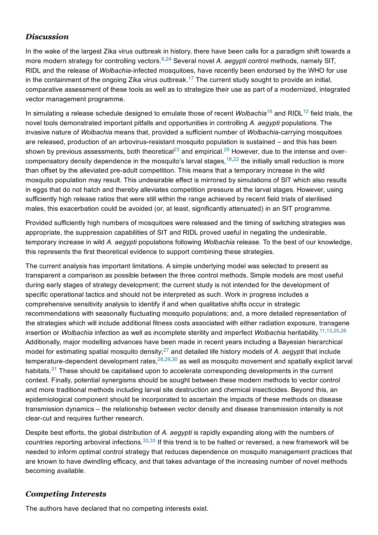# *Discussion*

In the wake of the largest Zika virus outbreak in history, there have been calls for a paradigm shift towards a more modern strategy for controlling vectors.<sup>[6,](#page-31-5)[24](#page-32-8)</sup> Several novel A. aegypti control methods, namely SIT, RIDL and the release of Wolbachia-infected mosquitoes, have recently been endorsed by the WHO for use in the containment of the ongoing Zika virus outbreak.<sup>[17](#page-32-1)</sup> The current study sought to provide an initial, comparative assessment of these tools as well as to strategize their use as part of a modernized, integrated vector management programme.

In simulating a release schedule designed to emulate those of recent *Wolbachia*<sup>[16](#page-32-0)</sup> and RIDL<sup>[12](#page-31-11)</sup> field trials, the novel tools demonstrated important pitfalls and opportunities in controlling A. aegypti populations. The invasive nature of Wolbachia means that, provided a sufficient number of Wolbachia-carrying mosquitoes are released, production of an arbovirus-resistant mosquito population is sustained – and this has been shown by previous assessments, both theoretical<sup>[23](#page-32-7)</sup> and empirical.<sup>[25](#page-32-9)</sup> However, due to the intense and overcompensatory density dependence in the mosquito's larval stages,  $18,22$  $18,22$  the initially small reduction is more than offset by the alleviated pre-adult competition. This means that a temporary increase in the wild mosquito population may result. This undesirable effect is mirrored by simulations of SIT which also results in eggs that do not hatch and thereby alleviates competition pressure at the larval stages. However, using sufficiently high release ratios that were still within the range achieved by recent field trials of sterilised males, this exacerbation could be avoided (or, at least, significantly attenuated) in an SIT programme.

Provided sufficiently high numbers of mosquitoes were released and the timing of switching strategies was appropriate, the suppression capabilities of SIT and RIDL proved useful in negating the undesirable, temporary increase in wild A. aegypti populations following Wolbachia release. To the best of our knowledge, this represents the first theoretical evidence to support combining these strategies.

The current analysis has important limitations. A simple underlying model was selected to present as transparent a comparison as possible between the three control methods. Simple models are most useful during early stages of strategy development; the current study is not intended for the development of specific operational tactics and should not be interpreted as such. Work in progress includes a comprehensive sensitivity analysis to identify if and when qualitative shifts occur in strategic recommendations with seasonally fluctuating mosquito populations; and, a more detailed representation of the strategies which will include additional fitness costs associated with either radiation exposure, transgene insertion or *Wolbachia* infection as well as incomplete sterility and imperfect *Wolbachia* heritability.<sup>[11](#page-31-10),[13,](#page-31-12)[25](#page-32-9)[,26](#page-32-10)</sup> Additionally, major modelling advances have been made in recent years including a Bayesian hierarchical model for estimating spatial mosquito density;<sup>[27](#page-32-11)</sup> and detailed life history models of A. aegypti that include temperature-dependent development rates, $^{28,29,30}$  $^{28,29,30}$  $^{28,29,30}$  $^{28,29,30}$  $^{28,29,30}$  $^{28,29,30}$  as well as mosquito movement and spatially explicit larval habitats.<sup>[31](#page-32-15)</sup> These should be capitalised upon to accelerate corresponding developments in the current context. Finally, potential synergisms should be sought between these modern methods to vector control and more traditional methods including larval site destruction and chemical insecticides. Beyond this, an epidemiological component should be incorporated to ascertain the impacts of these methods on disease transmission dynamics – the relationship between vector density and disease transmission intensity is not clear-cut and requires further research.

Despite best efforts, the global distribution of A. aegypti is rapidly expanding along with the numbers of countries reporting arboviral infections.  $32,33$  $32,33$  If this trend is to be halted or reversed, a new framework will be needed to inform optimal control strategy that reduces dependence on mosquito management practices that are known to have dwindling efficacy, and that takes advantage of the increasing number of novel methods becoming available.

## *Competing Interests*

The authors have declared that no competing interests exist.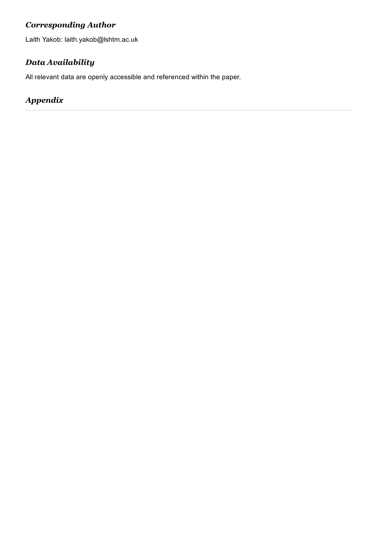# *Corresponding Author*

Laith Yakob: laith.yakob@lshtm.ac.uk

# *Data Availability*

All relevant data are openly accessible and referenced within the paper.

# *Appendix*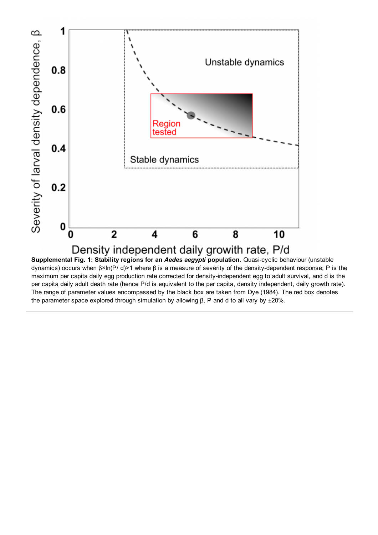

dynamics) occurs when β×ln(P/ d)>1 where β is a measure of severity of the density-dependent response; P is the maximum per capita daily egg production rate corrected for density-independent egg to adult survival, and d is the per capita daily adult death rate (hence P/d is equivalent to the per capita, density independent, daily growth rate). The range of parameter values encompassed by the black box are taken from Dye (1984). The red box denotes the parameter space explored through simulation by allowing β, P and d to all vary by ±20%.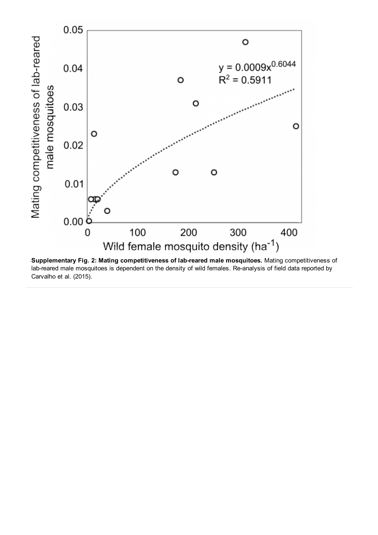

Supplementary Fig. 2: Mating competitiveness of lab-reared male mosquitoes. Mating competitiveness of lab-reared male mosquitoes is dependent on the density of wild females. Re-analysis of field data reported by Carvalho et al. (2015).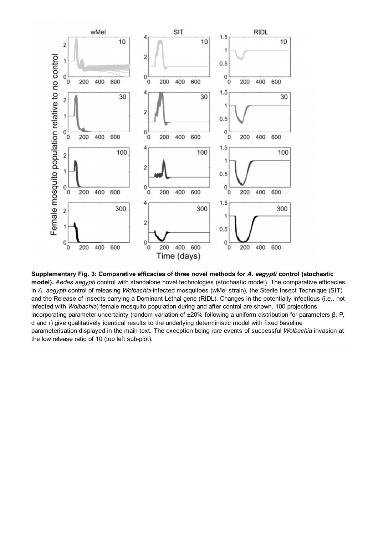

Supplementary Fig. 3: Comparative efficacies of three novel methods for A. aegypti control (stochastic model). Aedes aegypti control with standalone novel technologies (stochastic model). The comparative efficacies in A. aegypti control of releasing Wolbachia-infected mosquitoes (wMel strain), the Sterile Insect Technique (SIT) and the Release of Insects carrying a Dominant Lethal gene (RIDL). Changes in the potentially infectious (i.e., not infected with Wolbachia) female mosquito population during and after control are shown. 100 projections incorporating parameter uncertainty (random variation of ±20% following a uniform distribution for parameters β, P, d and τ) give qualitatively identical results to the underlying deterministic model with fixed baseline parameterisation displayed in the main text. The exception being rare events of successful Wolbachia invasion at the low release ratio of 10 (top left sub-plot).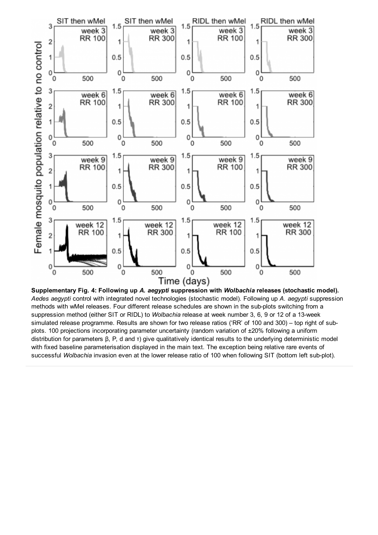

Supplementary Fig. 4: Following up A. aegypti suppression with Wolbachia releases (stochastic model). Aedes aegypti control with integrated novel technologies (stochastic model). Following up A. aegypti suppression methods with wMel releases. Four different release schedules are shown in the sub-plots switching from a suppression method (either SIT or RIDL) to Wolbachia release at week number 3, 6, 9 or 12 of a 13-week simulated release programme. Results are shown for two release ratios ('RR' of 100 and 300) – top right of subplots. 100 projections incorporating parameter uncertainty (random variation of ±20% following a uniform distribution for parameters β, P, d and τ) give qualitatively identical results to the underlying deterministic model with fixed baseline parameterisation displayed in the main text. The exception being relative rare events of successful Wolbachia invasion even at the lower release ratio of 100 when following SIT (bottom left sub-plot).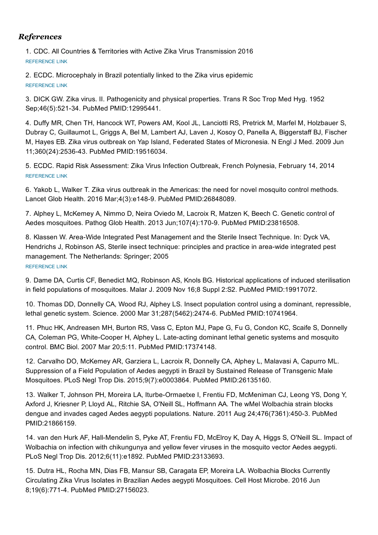## *References*

<span id="page-31-0"></span>1. CDC. All Countries & Territories with Active Zika Virus Transmission 2016 [REFERENCE](http://www.cdc.gov/zika/geo/active-countries.html) LINK

<span id="page-31-1"></span>2. ECDC. Microcephaly in Brazil potentially linked to the Zika virus epidemic [REFERENCE](http://ecdc.europa.eu/en/press/news/_layouts/forms/News_DispForm.aspx?ID=1329&List=8db7286c-fe2d-476c-9133-18ff4cb1b568&Source=http://ecdc.europa.eu/en/Pages/home.aspx) LINK

<span id="page-31-2"></span>3. DICK GW. Zika virus. II. Pathogenicity and physical properties. Trans R Soc Trop Med Hyg. 1952 Sep;46(5):521-34. PubMed PMID:12995441.

<span id="page-31-3"></span>4. Duffy MR, Chen TH, Hancock WT, Powers AM, Kool JL, Lanciotti RS, Pretrick M, Marfel M, Holzbauer S, Dubray C, Guillaumot L, Griggs A, Bel M, Lambert AJ, Laven J, Kosoy O, Panella A, Biggerstaff BJ, Fischer M, Hayes EB. Zika virus outbreak on Yap Island, Federated States of Micronesia. N Engl J Med. 2009 Jun 11;360(24):253643. PubMed PMID:19516034.

<span id="page-31-4"></span>5. ECDC. Rapid Risk Assessment: Zika Virus Infection Outbreak, French Polynesia, February 14, 2014 [REFERENCE](http://ecdc.europa.eu/en/publications/Publications/Zika-virus-French-Polynesia-rapid-risk-assessment.pdf) LINK

<span id="page-31-5"></span>6. Yakob L, Walker T. Zika virus outbreak in the Americas: the need for novel mosquito control methods. Lancet Glob Health. 2016 Mar; 4(3): e148-9. PubMed PMID: 26848089.

<span id="page-31-6"></span>7. Alphey L, McKemey A, Nimmo D, Neira Oviedo M, Lacroix R, Matzen K, Beech C. Genetic control of Aedes mosquitoes. Pathog Glob Health. 2013 Jun;107(4):170-9. PubMed PMID:23816508.

<span id="page-31-7"></span>8. Klassen W. Area-Wide Integrated Pest Management and the Sterile Insect Technique. In: Dyck VA, Hendrichs J, Robinson AS, Sterile insect technique: principles and practice in area-wide integrated pest management. The Netherlands: Springer; 2005 [REFERENCE](http://www-naweb.iaea.org/Nafa/ipc/public/Sterile_Insect_Technique_book.pdf#page=50) LINK

<span id="page-31-8"></span>9. Dame DA, Curtis CF, Benedict MQ, Robinson AS, Knols BG. Historical applications of induced sterilisation in field populations of mosquitoes. Malar J. 2009 Nov 16;8 Suppl 2:S2. PubMed PMID:19917072.

<span id="page-31-9"></span>10. Thomas DD, Donnelly CA, Wood RJ, Alphey LS. Insect population control using a dominant, repressible, lethal genetic system. Science. 2000 Mar 31;287(5462):2474-6. PubMed PMID:10741964.

<span id="page-31-10"></span>11. Phuc HK, Andreasen MH, Burton RS, Vass C, Epton MJ, Pape G, Fu G, Condon KC, Scaife S, Donnelly CA, Coleman PG, White-Cooper H, Alphey L. Late-acting dominant lethal genetic systems and mosquito control. BMC Biol. 2007 Mar 20;5:11. PubMed PMID:17374148.

<span id="page-31-11"></span>12. Carvalho DO, McKemey AR, Garziera L, Lacroix R, Donnelly CA, Alphey L, Malavasi A, Capurro ML. Suppression of a Field Population of Aedes aegypti in Brazil by Sustained Release of Transgenic Male Mosquitoes. PLoS Negl Trop Dis. 2015;9(7):e0003864. PubMed PMID:26135160.

<span id="page-31-12"></span>13. Walker T, Johnson PH, Moreira LA, Iturbe-Ormaetxe I, Frentiu FD, McMeniman CJ, Leong YS, Dong Y, Axford J, Kriesner P, Lloyd AL, Ritchie SA, O'Neill SL, Hoffmann AA. The wMel Wolbachia strain blocks dengue and invades caged Aedes aegypti populations. Nature. 2011 Aug 24;476(7361):450-3. PubMed PMID:21866159.

<span id="page-31-13"></span>14. van den Hurk AF, Hall-Mendelin S, Pyke AT, Frentiu FD, McElroy K, Day A, Higgs S, O'Neill SL. Impact of Wolbachia on infection with chikungunya and yellow fever viruses in the mosquito vector Aedes aegypti. PLoS Negl Trop Dis. 2012;6(11):e1892. PubMed PMID:23133693.

<span id="page-31-14"></span>15. Dutra HL, Rocha MN, Dias FB, Mansur SB, Caragata EP, Moreira LA. Wolbachia Blocks Currently Circulating Zika Virus Isolates in Brazilian Aedes aegypti Mosquitoes. Cell Host Microbe. 2016 Jun 8;19(6):7714. PubMed PMID:27156023.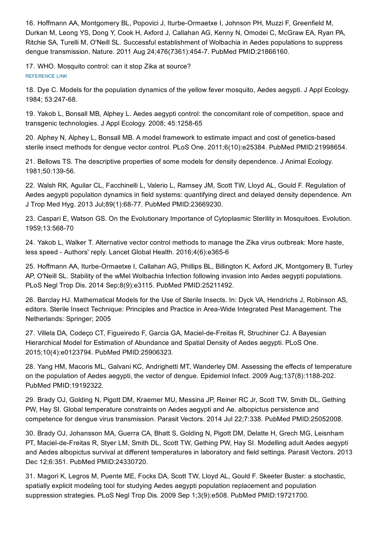<span id="page-32-0"></span>16. Hoffmann AA, Montgomery BL, Popovici J, Iturbe-Ormaetxe I, Johnson PH, Muzzi F, Greenfield M, Durkan M, Leong YS, Dong Y, Cook H, Axford J, Callahan AG, Kenny N, Omodei C, McGraw EA, Ryan PA, Ritchie SA, Turelli M, O'Neill SL. Successful establishment of Wolbachia in Aedes populations to suppress dengue transmission. Nature. 2011 Aug 24;476(7361):4547. PubMed PMID:21866160.

<span id="page-32-1"></span>17. WHO. Mosquito control: can it stop Zika at source? [REFERENCE](http://www.who.int/emergencies/zika-virus/articles/mosquito-control/en/%20) LINK

<span id="page-32-2"></span>18. Dye C. Models for the population dynamics of the yellow fever mosquito, Aedes aegypti. J Appl Ecology. 1984; 53:247-68.

<span id="page-32-3"></span>19. Yakob L, Bonsall MB, Alphey L. Aedes aegypti control: the concomitant role of competition, space and transgenic technologies. J Appl Ecology. 2008; 45:1258-65

<span id="page-32-4"></span>20. Alphey N, Alphey L, Bonsall MB. A model framework to estimate impact and cost of genetics-based sterile insect methods for dengue vector control. PLoS One. 2011;6(10):e25384. PubMed PMID:21998654.

<span id="page-32-5"></span>21. Bellows TS. The descriptive properties of some models for density dependence. J Animal Ecology. 1981;50:139-56.

<span id="page-32-6"></span>22. Walsh RK, Aguilar CL, Facchinelli L, Valerio L, Ramsey JM, Scott TW, Lloyd AL, Gould F. Regulation of Aedes aegypti population dynamics in field systems: quantifying direct and delayed density dependence. Am J Trop Med Hyg. 2013 Jul;89(1):6877. PubMed PMID:23669230.

<span id="page-32-7"></span>23. Caspari E, Watson GS. On the Evolutionary Importance of Cytoplasmic Sterility in Mosquitoes. Evolution. 1959;13:568-70

<span id="page-32-8"></span>24. Yakob L, Walker T. Alternative vector control methods to manage the Zika virus outbreak: More haste, less speed - Authors' reply. Lancet Global Health. 2016;4(6):e365-6

<span id="page-32-9"></span>25. Hoffmann AA, Iturbe-Ormaetxe I, Callahan AG, Phillips BL, Billington K, Axford JK, Montgomery B, Turley AP, O'Neill SL. Stability of the wMel Wolbachia Infection following invasion into Aedes aegypti populations. PLoS Negl Trop Dis. 2014 Sep;8(9):e3115. PubMed PMID:25211492.

<span id="page-32-10"></span>26. Barclay HJ. Mathematical Models for the Use of Sterile Insects. In: Dyck VA, Hendrichs J, Robinson AS, editors. Sterile Insect Technique: Principles and Practice in Area-Wide Integrated Pest Management. The Netherlands: Springer; 2005

<span id="page-32-11"></span>27. Villela DA, Codeço CT, Figueiredo F, Garcia GA, Maciel-de-Freitas R, Struchiner CJ. A Bayesian Hierarchical Model for Estimation of Abundance and Spatial Density of Aedes aegypti. PLoS One. 2015;10(4):e0123794. PubMed PMID:25906323.

<span id="page-32-12"></span>28. Yang HM, Macoris ML, Galvani KC, Andrighetti MT, Wanderley DM. Assessing the effects of temperature on the population of Aedes aegypti, the vector of dengue. Epidemiol Infect. 2009 Aug;137(8):1188-202. PubMed PMID:19192322.

<span id="page-32-13"></span>29. Brady OJ, Golding N, Pigott DM, Kraemer MU, Messina JP, Reiner RC Jr, Scott TW, Smith DL, Gething PW, Hay SI. Global temperature constraints on Aedes aegypti and Ae. albopictus persistence and competence for dengue virus transmission. Parasit Vectors. 2014 Jul 22;7:338. PubMed PMID:25052008.

<span id="page-32-14"></span>30. Brady OJ, Johansson MA, Guerra CA, Bhatt S, Golding N, Pigott DM, Delatte H, Grech MG, Leisnham PT, Maciel-de-Freitas R, Styer LM, Smith DL, Scott TW, Gething PW, Hay SI. Modelling adult Aedes aegypti and Aedes albopictus survival at different temperatures in laboratory and field settings. Parasit Vectors. 2013 Dec 12;6:351. PubMed PMID:24330720.

<span id="page-32-15"></span>31. Magori K, Legros M, Puente ME, Focks DA, Scott TW, Lloyd AL, Gould F. Skeeter Buster: a stochastic, spatially explicit modeling tool for studying Aedes aegypti population replacement and population suppression strategies. PLoS Negl Trop Dis. 2009 Sep 1;3(9):e508. PubMed PMID:19721700.